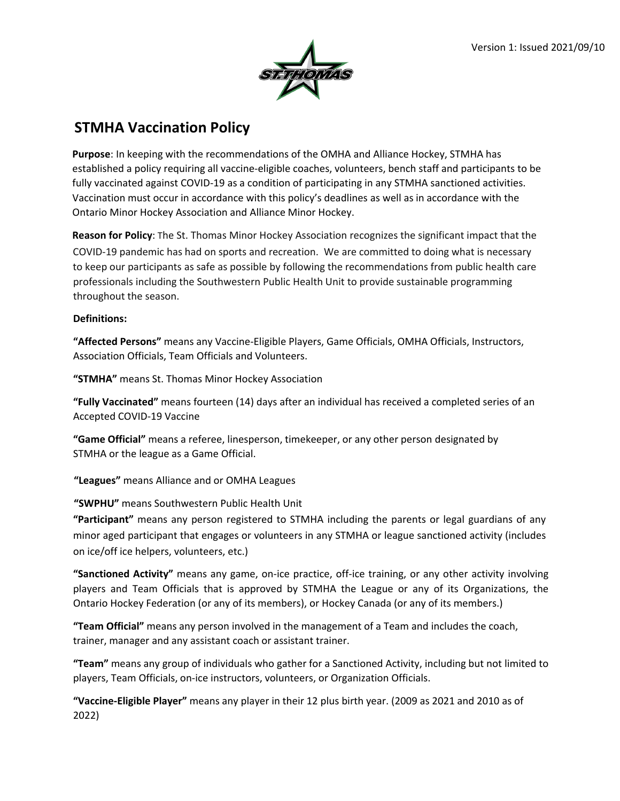

## **STMHA Vaccination Policy**

**Purpose**: In keeping with the recommendations of the OMHA and Alliance Hockey, STMHA has established a policy requiring all vaccine-eligible coaches, volunteers, bench staff and participants to be fully vaccinated against COVID-19 as a condition of participating in any STMHA sanctioned activities. Vaccination must occur in accordance with this policy's deadlines as well as in accordance with the Ontario Minor Hockey Association and Alliance Minor Hockey.

**Reason for Policy**: The St. Thomas Minor Hockey Association recognizes the significant impact that the COVID-19 pandemic has had on sports and recreation. We are committed to doing what is necessary to keep our participants as safe as possible by following the recommendations from public health care professionals including the Southwestern Public Health Unit to provide sustainable programming throughout the season.

## **Definitions:**

**"Affected Persons"** means any Vaccine-Eligible Players, Game Officials, OMHA Officials, Instructors, Association Officials, Team Officials and Volunteers.

**"STMHA"** means St. Thomas Minor Hockey Association

**"Fully Vaccinated"** means fourteen (14) days after an individual has received a completed series of an Accepted COVID-19 Vaccine

**"Game Official"** means a referee, linesperson, timekeeper, or any other person designated by STMHA or the league as a Game Official.

**"Leagues"** means Alliance and or OMHA Leagues

**"SWPHU"** means Southwestern Public Health Unit

**"Participant"** means any person registered to STMHA including the parents or legal guardians of any minor aged participant that engages or volunteers in any STMHA or league sanctioned activity (includes on ice/off ice helpers, volunteers, etc.)

**"Sanctioned Activity"** means any game, on-ice practice, off-ice training, or any other activity involving players and Team Officials that is approved by STMHA the League or any of its Organizations, the Ontario Hockey Federation (or any of its members), or Hockey Canada (or any of its members.)

**"Team Official"** means any person involved in the management of a Team and includes the coach, trainer, manager and any assistant coach or assistant trainer.

**"Team"** means any group of individuals who gather for a Sanctioned Activity, including but not limited to players, Team Officials, on-ice instructors, volunteers, or Organization Officials.

**"Vaccine-Eligible Player"** means any player in their 12 plus birth year. (2009 as 2021 and 2010 as of 2022)